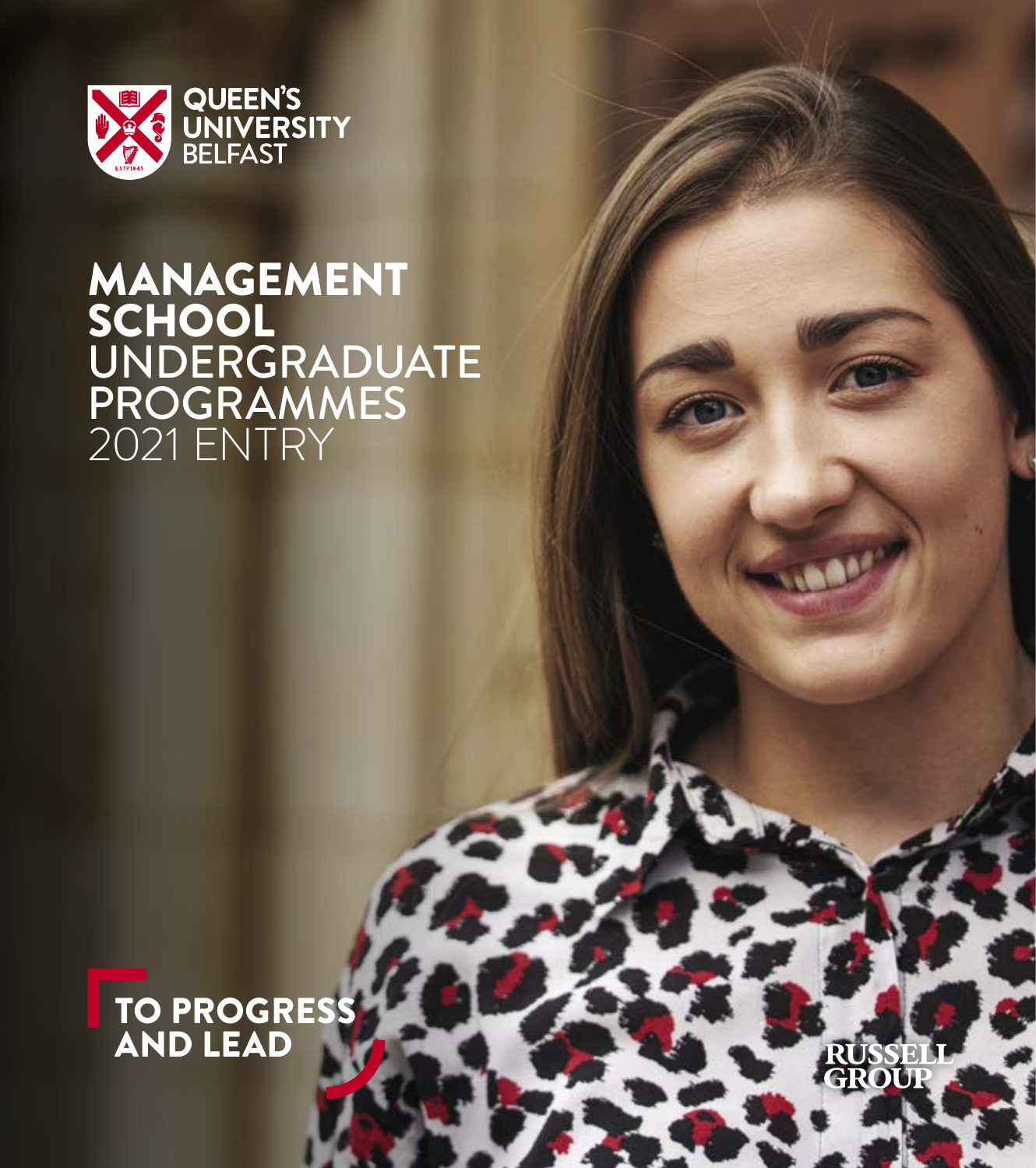

# MANAGEMENT SCHOOL UNDERGRADUATE PROGRAMMES 2021 ENTRY

# TO PROGRESS AND LEAD

SEI

**UBBY**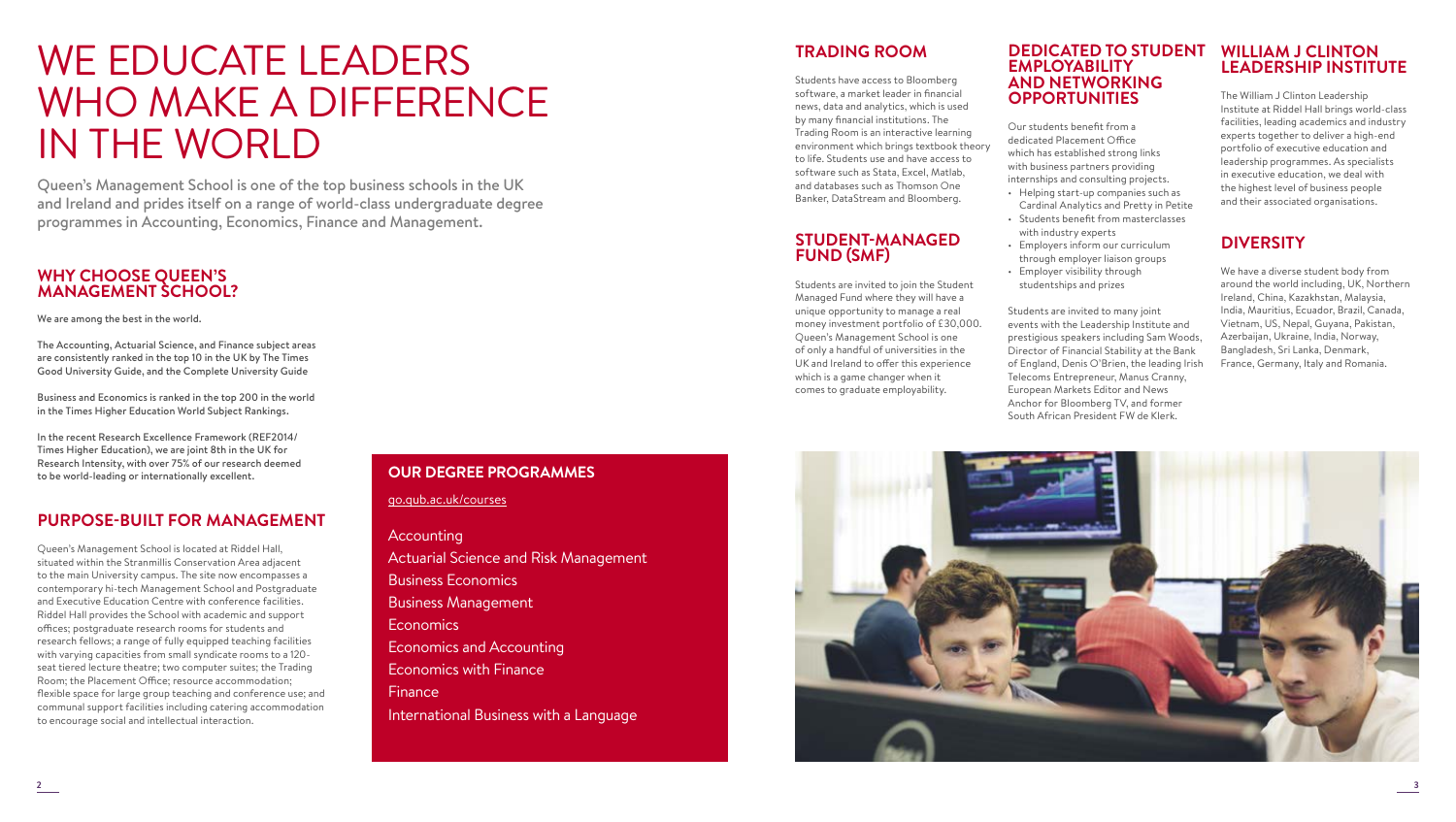# WE EDUCATE LEADERS WHO MAKE A DIFFERENCE IN THE WORLD

Queen's Management School is one of the top business schools in the UK and Ireland and prides itself on a range of world-class undergraduate degree programmes in Accounting, Economics, Finance and Management.

# **WHY CHOOSE QUEEN'S MANAGEMENT SCHOOL?**

# We are among the best in the world.

The Accounting, Actuarial Science, and Finance subject areas are consistently ranked in the top 10 in the UK by The Times Good University Guide, and the Complete University Guide

Business and Economics is ranked in the top 200 in the world in the Times Higher Education World Subject Rankings.

In the recent Research Excellence Framework (REF2014/ Times Higher Education), we are joint 8th in the UK for Research Intensity, with over 75% of our research deemed to be world-leading or internationally excellent.

# **PURPOSE-BUILT FOR MANAGEMENT**

Queen's Management School is located at Riddel Hall, situated within the Stranmillis Conservation Area adjacent to the main University campus. The site now encompasses a contemporary hi-tech Management School and Postgraduate and Executive Education Centre with conference facilities. Riddel Hall provides the School with academic and support offices; postgraduate research rooms for students and research fellows; a range of fully equipped teaching facilities with varying capacities from small syndicate rooms to a 120 seat tiered lecture theatre; two computer suites; the Trading Room; the Placement Office; resource accommodation; flexible space for large group teaching and conference use; and communal support facilities including catering accommodation to encourage social and intellectual interaction.

# **OUR DEGREE PROGRAMMES**

go.qub.ac.uk/courses

# **Accounting**

Actuarial Science and Risk Management Business Economics Business Management Economics Economics and Accounting Economics with Finance Finance International Business with a Language

# **TRADING ROOM**

Students have access to Bloomberg software, a market leader in financial news, data and analytics, which is used by many financial institutions. The Trading Room is an interactive learning environment which brings textbook theory to life. Students use and have access to software such as Stata, Excel, Matlab, and databases such as Thomson One Banker, DataStream and Bloomberg.

# **STUDENT-MANAGED FUND (SMF)**

Students are invited to join the Student Managed Fund where they will have a unique opportunity to manage a real money investment portfolio of £30,000. Queen's Management School is one of only a handful of universities in the UK and Ireland to offer this experience which is a game changer when it comes to graduate employability.

# **DEDICATED TO STUDENT EMPLOYABILITY AND NETWORKING OPPORTUNITIES**

Our students benefit from a dedicated Placement Office which has established strong links with business partners providing internships and consulting projects. • Helping start-up companies such as

- Cardinal Analytics and Pretty in Petite
- Students benefit from masterclasses with industry experts
- Employers inform our curriculum through employer liaison groups
- Employer visibility through studentships and prizes

Students are invited to many joint events with the Leadership Institute and prestigious speakers including Sam Woods, Director of Financial Stability at the Bank of England, Denis O'Brien, the leading Irish Telecoms Entrepreneur, Manus Cranny, European Markets Editor and News Anchor for Bloomberg TV, and former South African President FW de Klerk.

# **WILLIAM J CLINTON LEADERSHIP INSTITUTE**

The William J Clinton Leadership Institute at Riddel Hall brings world-class facilities, leading academics and industry experts together to deliver a high-end portfolio of executive education and leadership programmes. As specialists in executive education, we deal with the highest level of business people and their associated organisations.

# **DIVERSITY**

We have a diverse student body from around the world including, UK, Northern Ireland, China, Kazakhstan, Malaysia, India, Mauritius, Ecuador, Brazil, Canada, Vietnam, US, Nepal, Guyana, Pakistan, Azerbaijan, Ukraine, India, Norway, Bangladesh, Sri Lanka, Denmark, France, Germany, Italy and Romania.

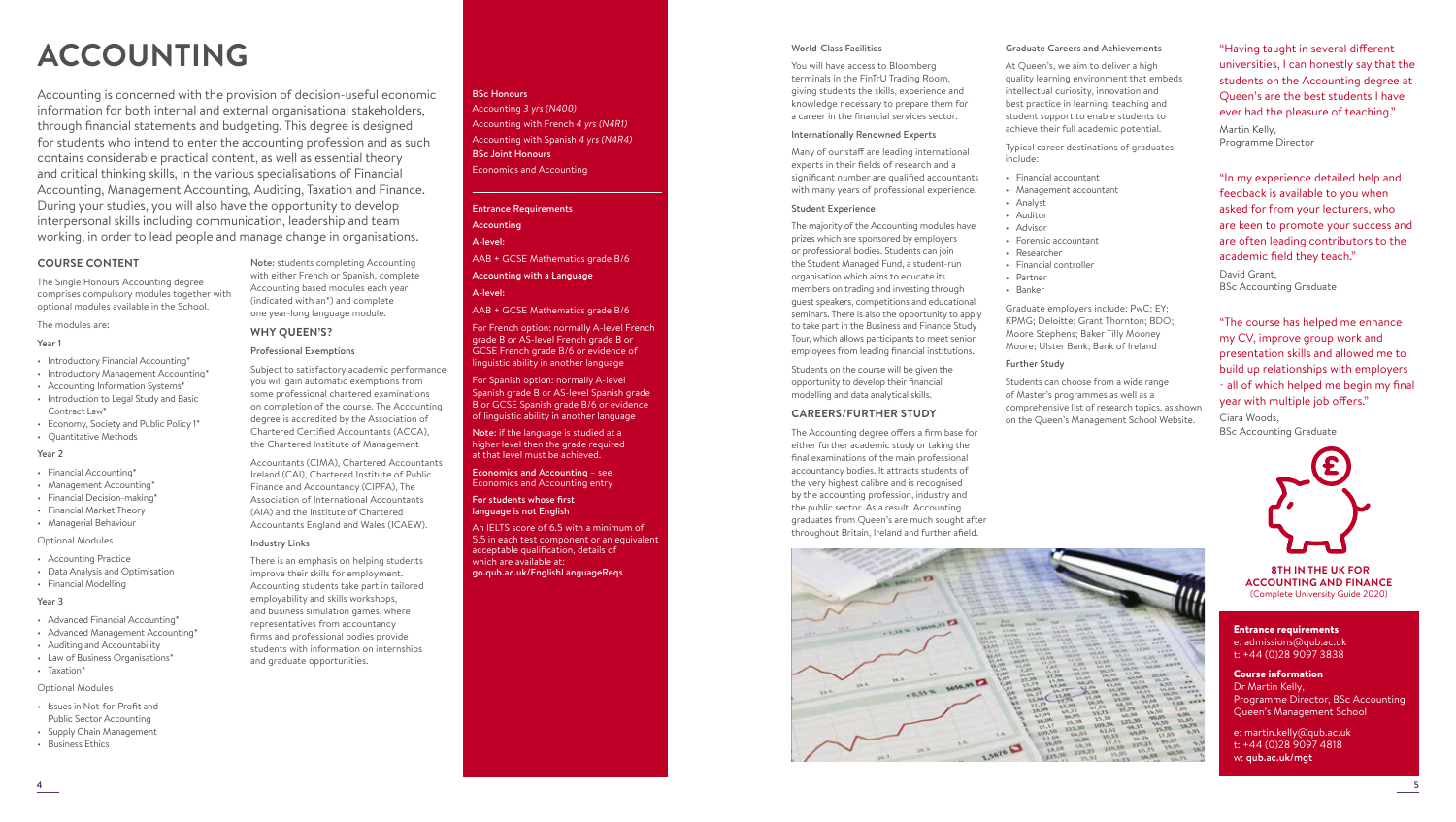# **ACCOUNTING**

Accounting is concerned with the provision of decision-useful economic information for both internal and external organisational stakeholders, through financial statements and budgeting. This degree is designed for students who intend to enter the accounting profession and as such contains considerable practical content, as well as essential theory and critical thinking skills, in the various specialisations of Financial Accounting, Management Accounting, Auditing, Taxation and Finance. During your studies, you will also have the opportunity to develop interpersonal skills including communication, leadership and team working, in order to lead people and manage change in organisations.

> Note: students completing Accounting with either French or Spanish, complete Accounting based modules each year (indicated with an\*) and complete one year-long language module.

Subject to satisfactory academic performance you will gain automatic exemptions from some professional chartered examinations on completion of the course. The Accounting degree is accredited by the Association of Chartered Certified Accountants (ACCA), the Chartered Institute of Management Accountants (CIMA), Chartered Accountants Ireland (CAI), Chartered Institute of Public Finance and Accountancy (CIPFA), The Association of International Accountants (AIA) and the Institute of Chartered Accountants England and Wales (ICAEW).

There is an emphasis on helping students improve their skills for employment. Accounting students take part in tailored employability and skills workshops, and business simulation games, where representatives from accountancy firms and professional bodies provide students with information on internships

and graduate opportunities.

**WHY QUEEN'S?** Professional Exemptions

Industry Links

# **COURSE CONTENT**

The Single Honours Accounting degree comprises compulsory modules together with optional modules available in the School.

The modules are:

# Year 1

- Introductory Financial Accounting\*
- Introductory Management Accounting\*
- Accounting Information Systems\* • Introduction to Legal Study and Basic
- Contract Law\*
- Economy, Society and Public Policy 1\* • Quantitative Methods
- 

# Year 2

- Financial Accounting\*
- Management Accounting\*
- Financial Decision-making\*
- Financial Market Theory
- Managerial Behaviour

# Optional Modules

- Accounting Practice
- Data Analysis and Optimisation
- Financial Modelling

# Year 3

- Advanced Financial Accounting\*
- Advanced Management Accounting\*
- Auditing and Accountability
- Law of Business Organisations\*
- Taxation\*

Optional Modules

- Issues in Not-for-Profit and
- Public Sector Accounting
- Supply Chain Management • Business Ethics
- 

#### BSc Honours

Accounting *3 yrs (N400)*  Accounting with French *4 yrs (N4R1)*  Accounting with Spanish *4 yrs (N4R4)*  BSc Joint Honours Economics and Accounting

# Entrance Requirements Accounting A-level:

AAB + GCSE Mathematics grade B/6

Accounting with a Language A-level:

AAB + GCSE Mathematics grade B/6

For French option: normally A-level French grade B or AS-level French grade B or GCSE French grade B/6 or evidence of linguistic ability in another language

For Spanish option: normally A-level Spanish grade B or AS-level Spanish grade B or GCSE Spanish grade B/6 or evidence of linguistic ability in another language

Note: if the language is studied at a higher level then the grade required at that level must be achieved.

Economics and Accounting – see Economics and Accounting entry

For students whose first language is not English

An IELTS score of 6.5 with a minimum of 5.5 in each test component or an equivalent acceptable qualification, details of which are available at: go.qub.ac.uk/EnglishLanguageReqs

#### World-Class Facilities

You will have access to Bloomberg terminals in the FinTrU Trading Room, giving students the skills, experience and knowledge necessary to prepare them for a career in the financial services sector.

## Internationally Renowned Experts

Many of our staff are leading international experts in their fields of research and a significant number are qualified accountants with many years of professional experience.

# Student Experience

The majority of the Accounting modules have prizes which are sponsored by employers or professional bodies. Students can join the Student Managed Fund, a student-run organisation which aims to educate its members on trading and investing through guest speakers, competitions and educational seminars. There is also the opportunity to apply to take part in the Business and Finance Study Tour, which allows participants to meet senior employees from leading financial institutions.

Students on the course will be given the opportunity to develop their financial modelling and data analytical skills.

# **CAREERS/FURTHER STUDY**

The Accounting degree offers a firm base for either further academic study or taking the final examinations of the main professional accountancy bodies. It attracts students of the very highest calibre and is recognised by the accounting profession, industry and the public sector. As a result, Accounting graduates from Queen's are much sought after throughout Britain, Ireland and further afield.

ET OLOMA PALLA

 $24.3$ 

 $\mathcal{M}^{(k)}$ 

EN MANY WELD.

 $E_{\text{at}_{\text{int}}}$ 



At Queen's, we aim to deliver a high quality learning environment that embeds intellectual curiosity, innovation and best practice in learning, teaching and student support to enable students to achieve their full academic potential.

Typical career destinations of graduates include:

- Financial accountant
- Management accountant
- Analyst
- Auditor • Advisor
- Forensic accountant
- Researcher
- Financial controller
- Partner
- Banker

Graduate employers include: PwC; EY; KPMG; Deloitte; Grant Thornton; BDO; Moore Stephens; Baker Tilly Mooney Moore; Ulster Bank; Bank of Ireland

#### Further Study

Students can choose from a wide range of Master's programmes as well as a comprehensive list of research topics, as shown on the Queen's Management School Website.

 $\begin{bmatrix} 11.09 & 11.0 \\ 11.09 & 11.0 \\ 11.09 & 11.0 \\ 11.00 & 11.0 \\ 11.00 & 11.0 \\ 11.00 & 11.0 \\ 11.00 & 11.0 \\ 11.00 & 11.0 \\ 11.00 & 11.0 \\ 11.00 & 11.0 \\ 11.00 & 11.0 \\ 11.00 & 11.0 \\ 11.00 & 11.0 \\ 11.00 & 11.0 \\ 11.00 & 11.0 \\ 11.00 & 11.0 \\ 11.00$ 

 $283$ 



"Having taught in several different universities, I can honestly say that the students on the Accounting degree at Queen's are the best students I have ever had the pleasure of teaching."

"In my experience detailed help and feedback is available to you when asked for from your lecturers, who are keen to promote your success and are often leading contributors to the

"The course has helped me enhance my CV, improve group work and presentation skills and allowed me to build up relationships with employers - all of which helped me begin my final

year with multiple job offers."

academic field they teach."

BSc Accounting Graduate

Martin Kelly, Programme Director

David Grant,

Ciara Woods,

 **8TH IN THE UK FOR ACCOUNTING AND FINANCE** (Complete University Guide 2020)

#### Entrance requirements e: admissions@qub.ac.uk

t: +44 (0)28 9097 3838

# Course information Dr Martin Kelly, Programme Director, BSc Accounting Queen's Management School

e: martin.kelly@qub.ac.uk t: +44 (0)28 9097 4818 w: qub.ac.uk/mgt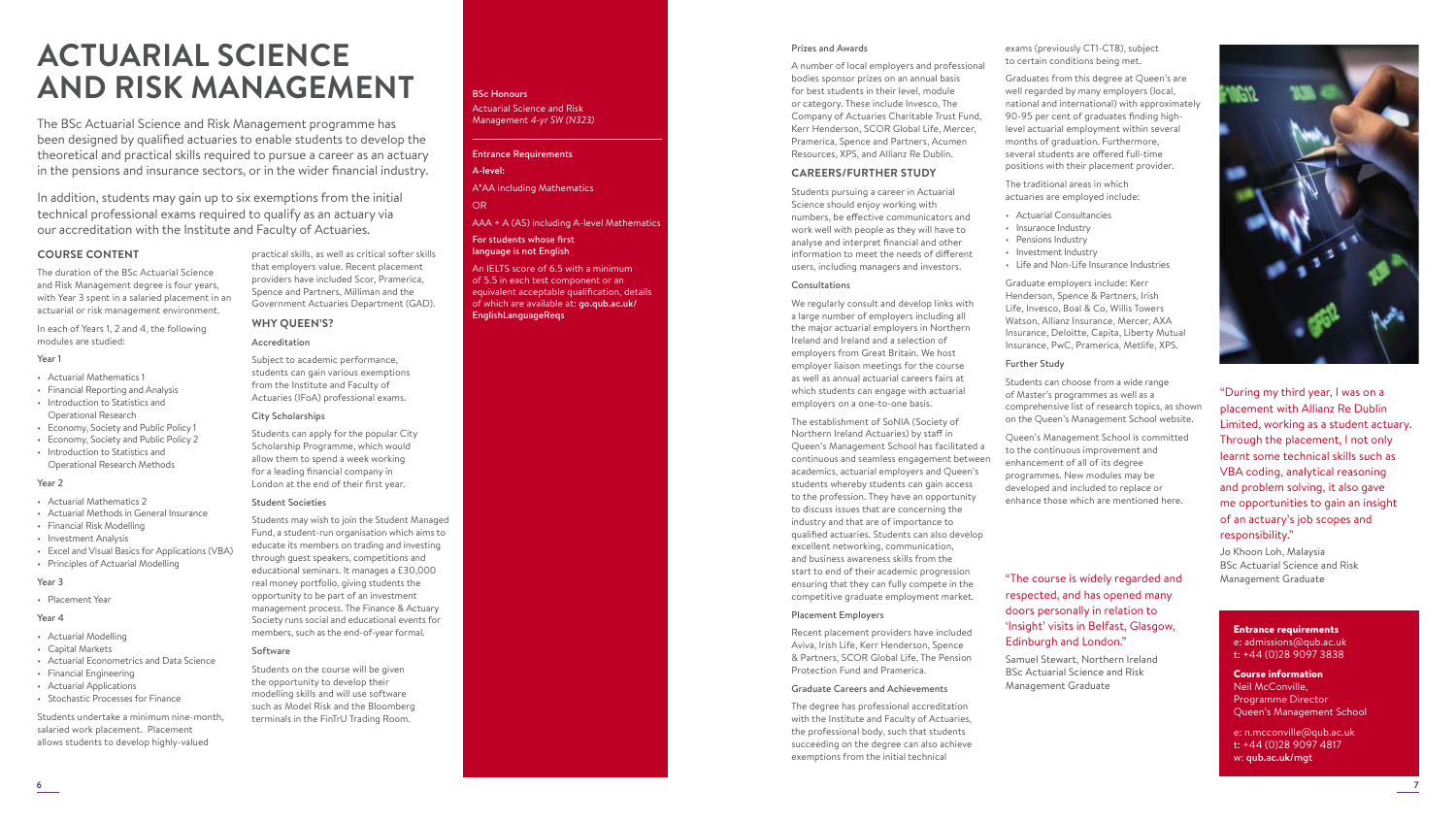# **ACTUARIAL SCIENCE AND RISK MANAGEMENT**

The BSc Actuarial Science and Risk Management programme has been designed by qualified actuaries to enable students to develop the theoretical and practical skills required to pursue a career as an actuary in the pensions and insurance sectors, or in the wider financial industry.

In addition, students may gain up to six exemptions from the initial technical professional exams required to qualify as an actuary via our accreditation with the Institute and Faculty of Actuaries.

# **COURSE CONTENT**

The duration of the BSc Actuarial Science and Risk Management degree is four years, with Year 3 spent in a salaried placement in an actuarial or risk management environment.

In each of Years 1, 2 and 4, the following modules are studied:

# Year 1

- Actuarial Mathematics 1
- Financial Reporting and Analysis • Introduction to Statistics and
- Operational Research
- Economy, Society and Public Policy 1
- Economy, Society and Public Policy 2
- Introduction to Statistics and Operational Research Methods

# Year 2

- Actuarial Mathematics 2
- Actuarial Methods in General Insurance
- Financial Risk Modelling
- Investment Analysis
- Excel and Visual Basics for Applications (VBA) • Principles of Actuarial Modelling

# Year 3

• Placement Year

# Year 4

- Actuarial Modelling
- Capital Markets • Actuarial Econometrics and Data Science
- Financial Engineering
- Actuarial Applications
- Stochastic Processes for Finance

Students undertake a minimum nine-month, salaried work placement. Placement allows students to develop highly-valued

practical skills, as well as critical softer skills that employers value. Recent placement providers have included Scor, Pramerica, Spence and Partners, Milliman and the Government Actuaries Department (GAD).

# **WHY QUEEN'S?**

# Accreditation

Subject to academic performance, students can gain various exemptions from the Institute and Faculty of Actuaries (IFoA) professional exams.

# City Scholarships

Students can apply for the popular City Scholarship Programme, which would allow them to spend a week working for a leading financial company in London at the end of their first year.

# Student Societies

Students may wish to join the Student Managed Fund, a student-run organisation which aims to educate its members on trading and investing through guest speakers, competitions and educational seminars. It manages a £30,000 real money portfolio, giving students the opportunity to be part of an investment management process. The Finance & Actuary Society runs social and educational events for members, such as the end-of-year formal.

#### Software

Students on the course will be given the opportunity to develop their modelling skills and will use software such as Model Risk and the Bloomberg terminals in the FinTrU Trading Room.

# BSc Honours

Actuarial Science and Risk Management *4-yr SW (N323)* 

# Entrance Requirements A-level:

A\*AA including Mathematics

# OR

# AAA + A (AS) including A-level Mathematics

#### For students whose first language is not English

An IELTS score of 6.5 with a minimum of 5.5 in each test component or an equivalent acceptable qualification, details of which are available at: go.qub.ac.uk/ EnglishLanguageReqs

# Prizes and Awards

A number of local employers and professional bodies sponsor prizes on an annual basis for best students in their level, module or category. These include Invesco, The Company of Actuaries Charitable Trust Fund, Kerr Henderson, SCOR Global Life, Mercer, Pramerica, Spence and Partners, Acumen Resources, XPS, and Allianz Re Dublin.

# **CAREERS/FURTHER STUDY**

Students pursuing a career in Actuarial Science should enjoy working with numbers, be effective communicators and work well with people as they will have to analyse and interpret financial and other information to meet the needs of different users, including managers and investors.

# Consultations

We regularly consult and develop links with a large number of employers including all the major actuarial employers in Northern Ireland and Ireland and a selection of employers from Great Britain. We host employer liaison meetings for the course as well as annual actuarial careers fairs at which students can engage with actuarial employers on a one-to-one basis.

The establishment of SoNIA (Society of Northern Ireland Actuaries) by staff in Queen's Management School has facilitated a continuous and seamless engagement between academics, actuarial employers and Queen's students whereby students can gain access to the profession. They have an opportunity to discuss issues that are concerning the industry and that are of importance to qualified actuaries. Students can also develop excellent networking, communication, and business awareness skills from the start to end of their academic progression ensuring that they can fully compete in the competitive graduate employment market.

# Placement Employers

Recent placement providers have included Aviva, Irish Life, Kerr Henderson, Spence & Partners, SCOR Global Life, The Pension Protection Fund and Pramerica.

# Graduate Careers and Achievements

The degree has professional accreditation with the Institute and Faculty of Actuaries, the professional body, such that students succeeding on the degree can also achieve exemptions from the initial technical

exams (previously CT1-CT8), subject to certain conditions being met.

Graduates from this degree at Queen's are well regarded by many employers (local, national and international) with approximately 90-95 per cent of graduates finding highlevel actuarial employment within several months of graduation. Furthermore, several students are offered full-time positions with their placement provider.

The traditional areas in which actuaries are employed include:

- Actuarial Consultancies
- Insurance Industry
- Pensions Industry
- Investment Industry
- Life and Non-Life Insurance Industries

Graduate employers include: Kerr Henderson, Spence & Partners, Irish Life, Invesco, Boal & Co, Willis Towers Watson, Allianz Insurance, Mercer, AXA Insurance, Deloitte, Capita, Liberty Mutual Insurance, PwC, Pramerica, Metlife, XPS.

#### Further Study

Students can choose from a wide range of Master's programmes as well as a comprehensive list of research topics, as shown on the Queen's Management School website.

Queen's Management School is committed to the continuous improvement and enhancement of all of its degree programmes. New modules may be developed and included to replace or enhance those which are mentioned here.

# "The course is widely regarded and respected, and has opened many doors personally in relation to 'Insight' visits in Belfast, Glasgow, Edinburgh and London."

Samuel Stewart, Northern Ireland BSc Actuarial Science and Risk Management Graduate

Course information Neil McConville, Programme Director Queen's Management School

Entrance requirements e: admissions@qub.ac.uk t: +44 (0)28 9097 3838

e: n.mcconville@qub.ac.uk t: +44 (0)28 9097 4817 w: qub.ac.uk/mgt



"During my third year, I was on a placement with Allianz Re Dublin Limited, working as a student actuary. Through the placement, I not only learnt some technical skills such as VBA coding, analytical reasoning and problem solving, it also gave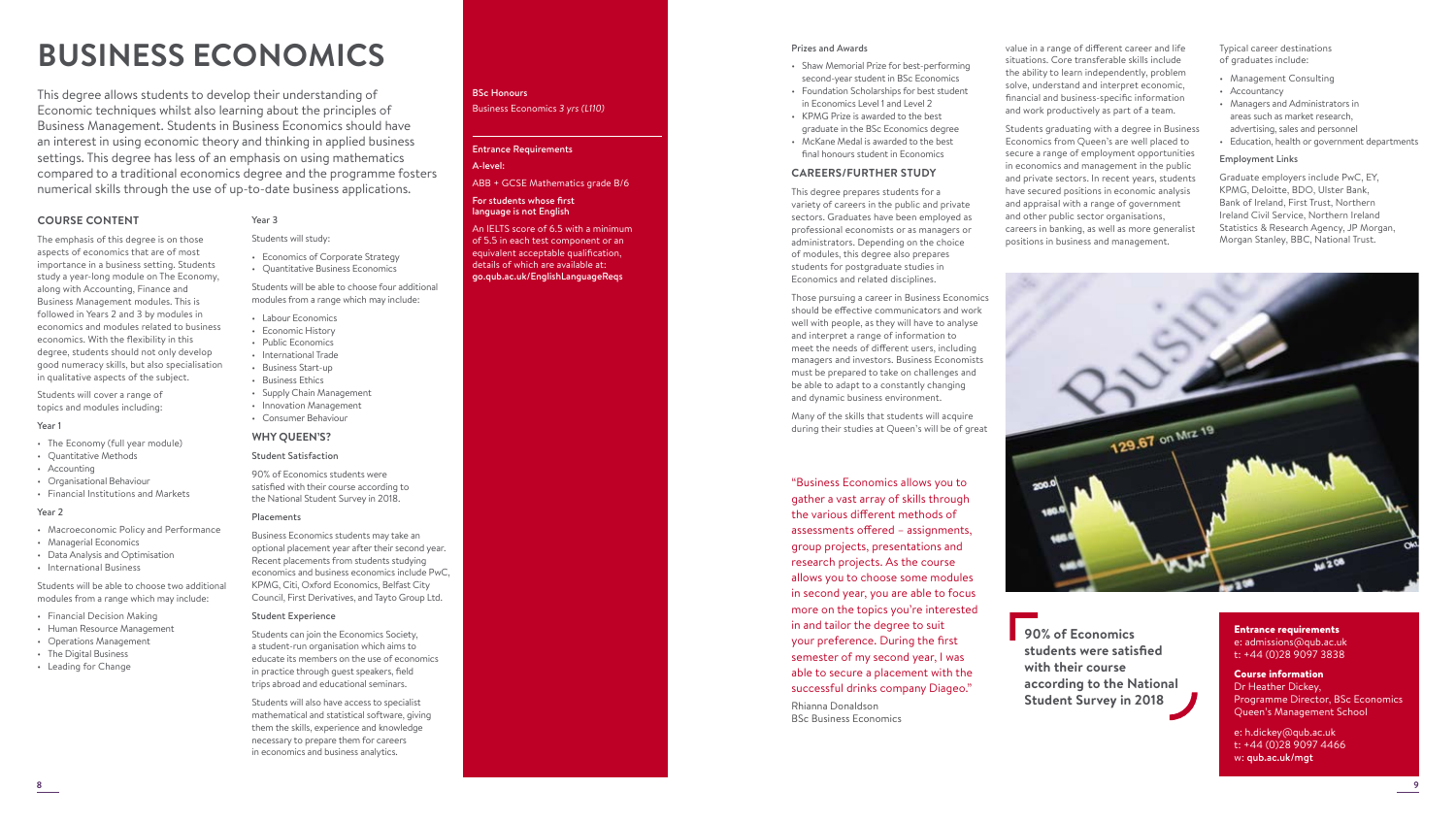# **BUSINESS ECONOMICS**

This degree allows students to develop their understanding of Economic techniques whilst also learning about the principles of Business Management. Students in Business Economics should have an interest in using economic theory and thinking in applied business settings. This degree has less of an emphasis on using mathematics compared to a traditional economics degree and the programme fosters numerical skills through the use of up-to-date business applications.

# **COURSE CONTENT**

The emphasis of this degree is on those aspects of economics that are of most importance in a business setting. Students study a year-long module on The Economy, along with Accounting, Finance and Business Management modules. This is followed in Years 2 and 3 by modules in economics and modules related to business economics. With the flexibility in this degree, students should not only develop good numeracy skills, but also specialisation in qualitative aspects of the subject.

Students will cover a range of topics and modules including:

# Year 1

- The Economy (full year module)
- Quantitative Methods
- Accounting
- Organisational Behaviour
- 

# Year 2

- 
- Managerial Economics
- Data Analysis and Optimisation
- International Business

Students will be able to choose two additional modules from a range which may include:

- Financial Decision Making
- Human Resource Management
- Operations Management
- The Digital Business • Leading for Change

# Year 3

# Students will study:

• Economics of Corporate Strategy • Quantitative Business Economics

Students will be able to choose four additional modules from a range which may include:

- Labour Economics
- Economic History
- Public Economics
- International Trade
- Business Start-up • Business Ethics
- Supply Chain Management
- Innovation Management
- Consumer Behaviour

## **WHY QUEEN'S?**

## Student Satisfaction

90% of Economics students were satisfied with their course according to the National Student Survey in 2018.

## Placements

Business Economics students may take an optional placement year after their second year. Recent placements from students studying economics and business economics include PwC, KPMG, Citi, Oxford Economics, Belfast City Council, First Derivatives, and Tayto Group Ltd.

# Student Experience

Students can join the Economics Society, a student-run organisation which aims to educate its members on the use of economics in practice through guest speakers, field trips abroad and educational seminars.

Students will also have access to specialist mathematical and statistical software, giving them the skills, experience and knowledge necessary to prepare them for careers in economics and business analytics.

# BSc Honours Business Economics *3 yrs (L110)*

# Entrance Requirements A-level:

ABB + GCSE Mathematics grade B/6

### For students whose first language is not English

An IELTS score of 6.5 with a minimum of 5.5 in each test component or an equivalent acceptable qualification, details of which are available at: go.qub.ac.uk/EnglishLanguageReqs

# Prizes and Awards

- Shaw Memorial Prize for best-performing second-year student in BSc Economics
- Foundation Scholarships for best student in Economics Level 1 and Level 2 • KPMG Prize is awarded to the best
- graduate in the BSc Economics degree • McKane Medal is awarded to the best final honours student in Economics

# **CAREERS/FURTHER STUDY**

This degree prepares students for a variety of careers in the public and private sectors. Graduates have been employed as professional economists or as managers or administrators. Depending on the choice of modules, this degree also prepares students for postgraduate studies in Economics and related disciplines.

Those pursuing a career in Business Economics should be effective communicators and work well with people, as they will have to analyse and interpret a range of information to meet the needs of different users, including managers and investors. Business Economists must be prepared to take on challenges and be able to adapt to a constantly changing and dynamic business environment.

Many of the skills that students will acquire during their studies at Queen's will be of great

"Business Economics allows you to gather a vast array of skills through the various different methods of assessments offered – assignments, group projects, presentations and research projects. As the course allows you to choose some modules in second year, you are able to focus more on the topics you're interested in and tailor the degree to suit your preference. During the first semester of my second year, I was able to secure a placement with the successful drinks company Diageo." Rhianna Donaldson BSc Business Economics

value in a range of different career and life situations. Core transferable skills include the ability to learn independently, problem solve, understand and interpret economic, financial and business-specific information and work productively as part of a team.

Students graduating with a degree in Business Economics from Queen's are well placed to secure a range of employment opportunities in economics and management in the public and private sectors. In recent years, students have secured positions in economic analysis and appraisal with a range of government and other public sector organisations, careers in banking, as well as more generalist positions in business and management.

Typical career destinations of graduates include:

- Management Consulting
- Accountancy
- Managers and Administrators in areas such as market research, advertising, sales and personnel
- Education, health or government departments

# Employment Links

Graduate employers include PwC, EY, KPMG, Deloitte, BDO, Ulster Bank, Bank of Ireland, First Trust, Northern Ireland Civil Service, Northern Ireland Statistics & Research Agency, JP Morgan, Morgan Stanley, BBC, National Trust.



**90% of Economics students were satisfied with their course according to the National Student Survey in 2018**

Entrance requirements e: admissions@qub.ac.uk t: +44 (0)28 9097 3838

# Course information Dr Heather Dickey, Programme Director, BSc Economics Queen's Management School

e: h.dickey@qub.ac.uk t: +44 (0)28 9097 4466 w: qub.ac.uk/mgt

• Financial Institutions and Markets

# • Macroeconomic Policy and Performance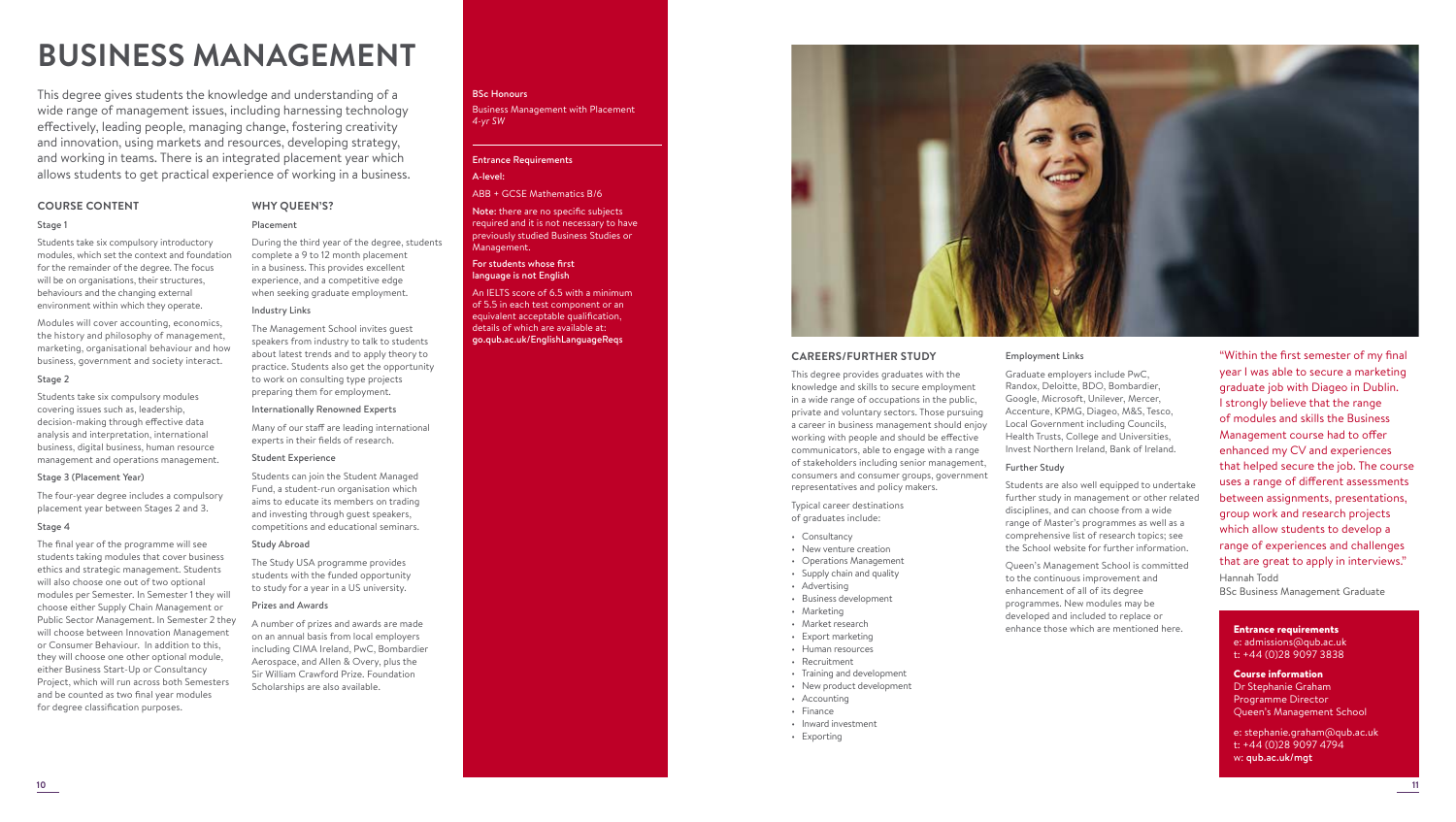# **BUSINESS MANAGEMENT**

This degree gives students the knowledge and understanding of a wide range of management issues, including harnessing technology effectively, leading people, managing change, fostering creativity and innovation, using markets and resources, developing strategy, and working in teams. There is an integrated placement year which allows students to get practical experience of working in a business.

# **COURSE CONTENT**

# Stage 1

Students take six compulsory introductory modules, which set the context and foundation for the remainder of the degree. The focus will be on organisations, their structures, behaviours and the changing external environment within which they operate.

Modules will cover accounting, economics, the history and philosophy of management, marketing, organisational behaviour and how business, government and society interact.

# Stage 2

Students take six compulsory modules covering issues such as, leadership, decision-making through effective data analysis and interpretation, international business, digital business, human resource management and operations management.

# Stage 3 (Placement Year)

The four-year degree includes a compulsory placement year between Stages 2 and 3.

# Stage 4

The final year of the programme will see students taking modules that cover business ethics and strategic management. Students will also choose one out of two optional modules per Semester. In Semester 1 they will choose either Supply Chain Management or Public Sector Management. In Semester 2 they will choose between Innovation Management or Consumer Behaviour. In addition to this, they will choose one other optional module, either Business Start-Up or Consultancy Project, which will run across both Semesters and be counted as two final year modules for degree classification purposes.

# BSc Honours

Business Management with Placement *4-yr SW*

# Entrance Requirements

# A-level:

# ABB + GCSE Mathematics B/6

Note: there are no specific subjects required and it is not necessary to have previously studied Business Studies or Management.

#### For students whose first language is not English

An IELTS score of 6.5 with a minimum of 5.5 in each test component or an equivalent acceptable qualification, details of which are available at: go.qub.ac.uk/EnglishLanguageReqs



# **CAREERS/FURTHER STUDY**

This degree provides graduates with the knowledge and skills to secure employment in a wide range of occupations in the public, private and voluntary sectors. Those pursuing a career in business management should enjoy working with people and should be effective communicators, able to engage with a range of stakeholders including senior management, consumers and consumer groups, government representatives and policy makers.

Typical career destinations of graduates include:

- Consultancy
- New venture creation
- Operations Management
- Supply chain and quality
- Advertising
- Business development
- Marketing • Market research
- Export marketing
- Human resources
- Recruitment
- Training and development
- New product development
- Accounting
- Finance
- Inward investment
- 
- Exporting

# Employment Links

Graduate employers include PwC, Randox, Deloitte, BDO, Bombardier, Google, Microsoft, Unilever, Mercer, Accenture, KPMG, Diageo, M&S, Tesco, Local Government including Councils, Health Trusts, College and Universities, Invest Northern Ireland, Bank of Ireland.

# Further Study

Students are also well equipped to undertake further study in management or other related disciplines, and can choose from a wide range of Master's programmes as well as a comprehensive list of research topics; see the School website for further information.

Queen's Management School is committed to the continuous improvement and enhancement of all of its degree programmes. New modules may be developed and included to replace or enhance those which are mentioned here.

"Within the first semester of my final year I was able to secure a marketing graduate job with Diageo in Dublin. I strongly believe that the range of modules and skills the Business Management course had to offer enhanced my CV and experiences that helped secure the job. The course uses a range of different assessments between assignments, presentations, group work and research projects which allow students to develop a range of experiences and challenges that are great to apply in interviews." Hannah Todd BSc Business Management Graduate

Entrance requirements

e: admissions@qub.ac.uk t: +44 (0)28 9097 3838

Course information Dr Stephanie Graham Programme Director Queen's Management School

e: stephanie.graham@qub.ac.uk t: +44 (0)28 9097 4794 w: qub.ac.uk/mgt

# Internationally Renowned Experts Many of our staff are leading international experts in their fields of research.

During the third year of the degree, students complete a 9 to 12 month placement in a business. This provides excellent experience, and a competitive edge when seeking graduate employment.

The Management School invites guest speakers from industry to talk to students about latest trends and to apply theory to practice. Students also get the opportunity to work on consulting type projects preparing them for employment.

## Student Experience

**WHY QUEEN'S?** Placement

Industry Links

Students can join the Student Managed Fund, a student-run organisation which aims to educate its members on trading and investing through guest speakers, competitions and educational seminars.

# Study Abroad

The Study USA programme provides students with the funded opportunity to study for a year in a US university.

#### Prizes and Awards

A number of prizes and awards are made on an annual basis from local employers including CIMA Ireland, PwC, Bombardier Aerospace, and Allen & Overy, plus the Sir William Crawford Prize. Foundation Scholarships are also available.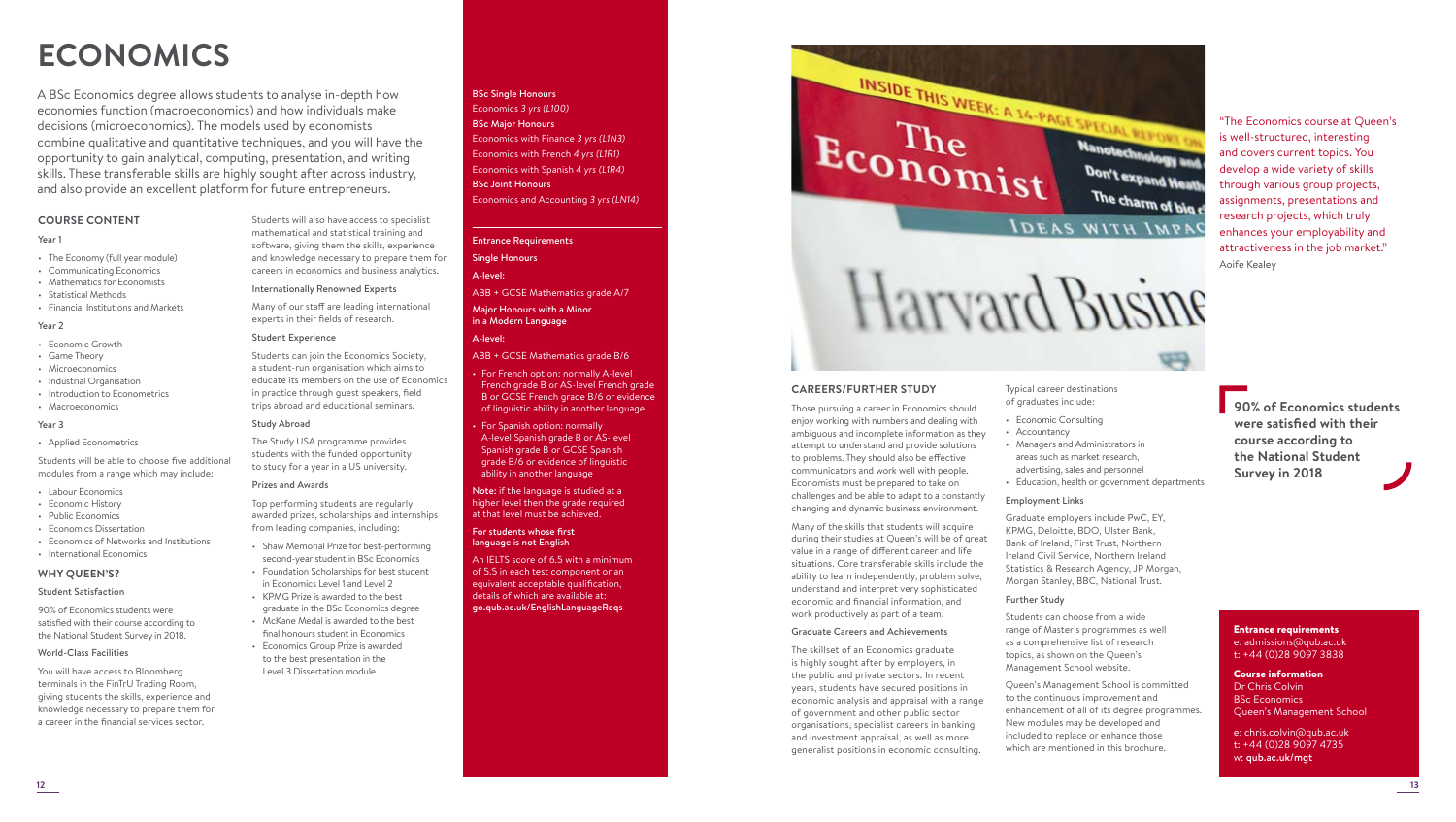# **ECONOMICS**

A BSc Economics degree allows students to analyse in-depth how economies function (macroeconomics) and how individuals make decisions (microeconomics). The models used by economists combine qualitative and quantitative techniques, and you will have the opportunity to gain analytical, computing, presentation, and writing skills. These transferable skills are highly sought after across industry, and also provide an excellent platform for future entrepreneurs.

# **COURSE CONTENT**

# Year 1

- The Economy (full year module)
- Communicating Economics
- Mathematics for Economists
- Statistical Methods
- Financial Institutions and Markets

# Year 2

- Economic Growth
- Game Theory
- Microeconomics
- Industrial Organisation
- Introduction to Econometrics
- Macroeconomics

# Year 3

• Applied Econometrics

Students will be able to choose five additional modules from a range which may include:

- Labour Economics
- Economic History
- Public Economics
- Economics Dissertation
- Economics of Networks and Institutions • International Economics
- **WHY QUEEN'S?**

# Student Satisfaction

90% of Economics students were satisfied with their course according to the National Student Survey in 2018.

# World-Class Facilities

You will have access to Bloomberg terminals in the FinTrU Trading Room, giving students the skills, experience and knowledge necessary to prepare them for a career in the financial services sector.

Students will also have access to specialist mathematical and statistical training and software, giving them the skills, experience and knowledge necessary to prepare them for careers in economics and business analytics.

Internationally Renowned Experts

Many of our staff are leading international experts in their fields of research.

# Student Experience

Students can join the Economics Society, a student-run organisation which aims to educate its members on the use of Economics in practice through guest speakers, field trips abroad and educational seminars.

# Study Abroad

The Study USA programme provides students with the funded opportunity to study for a year in a US university.

# Prizes and Awards

Top performing students are regularly awarded prizes, scholarships and internships from leading companies, including:

• Shaw Memorial Prize for best-performing second-year student in BSc Economics • Foundation Scholarships for best student in Economics Level 1 and Level 2

• KPMG Prize is awarded to the best graduate in the BSc Economics degree • McKane Medal is awarded to the best final honours student in Economics • Economics Group Prize is awarded to the best presentation in the Level 3 Dissertation module

# BSc Single Honours Economics *3 yrs (L100)*  BSc Major Honours

Economics with Finance *3 yrs (L1N3)*  Economics with French *4 yrs (L1R1)*  Economics with Spanish *4 yrs (L1R4)*  BSc Joint Honours Economics and Accounting *3 yrs (LN14)* 

# Entrance Requirements

Single Honours A-level:

ABB + GCSE Mathematics grade A/7

Major Honours with a Minor in a Modern Language

# A-level: ABB + GCSE Mathematics grade B/6

• For French option: normally A-level French grade B or AS-level French grade B or GCSE French grade B/6 or evidence

# of linguistic ability in another language • For Spanish option: normally A-level Spanish grade B or AS-level Spanish grade B or GCSE Spanish grade B/6 or evidence of linguistic ability in another language

Note: if the language is studied at a higher level then the grade required at that level must be achieved.

# For students whose first language is not English

An IELTS score of 6.5 with a minimum of 5.5 in each test component or an equivalent acceptable qualification, details of which are available at: go.qub.ac.uk/EnglishLanguageReqs

# INSIDE THIS WEEK: A 14-PAGE SPECIAL REPORT OF Economist Nanotechnology and Don't expand Heath The charm of blg c **IDEAS WITH IMPAC**

Those pursuing a career in Economics should enjoy working with numbers and dealing with ambiguous and incomplete information as they attempt to understand and provide solutions to problems. They should also be effective communicators and work well with people. Economists must be prepared to take on challenges and be able to adapt to a constantly changing and dynamic business environment.

Many of the skills that students will acquire during their studies at Queen's will be of great value in a range of different career and life situations. Core transferable skills include the ability to learn independently, problem solve, understand and interpret very sophisticated economic and financial information, and work productively as part of a team.

# Graduate Careers and Achievements

The skillset of an Economics graduate is highly sought after by employers, in the public and private sectors. In recent years, students have secured positions in economic analysis and appraisal with a range of government and other public sector organisations, specialist careers in banking and investment appraisal, as well as more generalist positions in economic consulting.

Typical career destinations of graduates include:

- Economic Consulting
- Accountancy
- Managers and Administrators in areas such as market research, advertising, sales and personnel
- Education, health or government departments

## Employment Links

Graduate employers include PwC, EY, KPMG, Deloitte, BDO, Ulster Bank, Bank of Ireland, First Trust, Northern Ireland Civil Service, Northern Ireland Statistics & Research Agency, JP Morgan, Morgan Stanley, BBC, National Trust.

# Further Study

Students can choose from a wide range of Master's programmes as well as a comprehensive list of research topics, as shown on the Queen's Management School website.

Queen's Management School is committed to the continuous improvement and enhancement of all of its degree programmes. New modules may be developed and included to replace or enhance those which are mentioned in this brochure.

**90% of Economics students were satisfied with their course according to the National Student Survey in 2018**

"The Economics course at Queen's is well-structured, interesting and covers current topics. You develop a wide variety of skills through various group projects, assignments, presentations and research projects, which truly enhances your employability and attractiveness in the job market."

Aoife Kealey

Entrance requirements e: admissions@qub.ac.uk t: +44 (0)28 9097 3838

# Course information Dr Chris Colvin BSc Economics Queen's Management School

e: chris.colvin@qub.ac.uk t: +44 (0)28 9097 4735 w: qub.ac.uk/mgt

Harvard Busine

**CAREERS/FURTHER STUDY**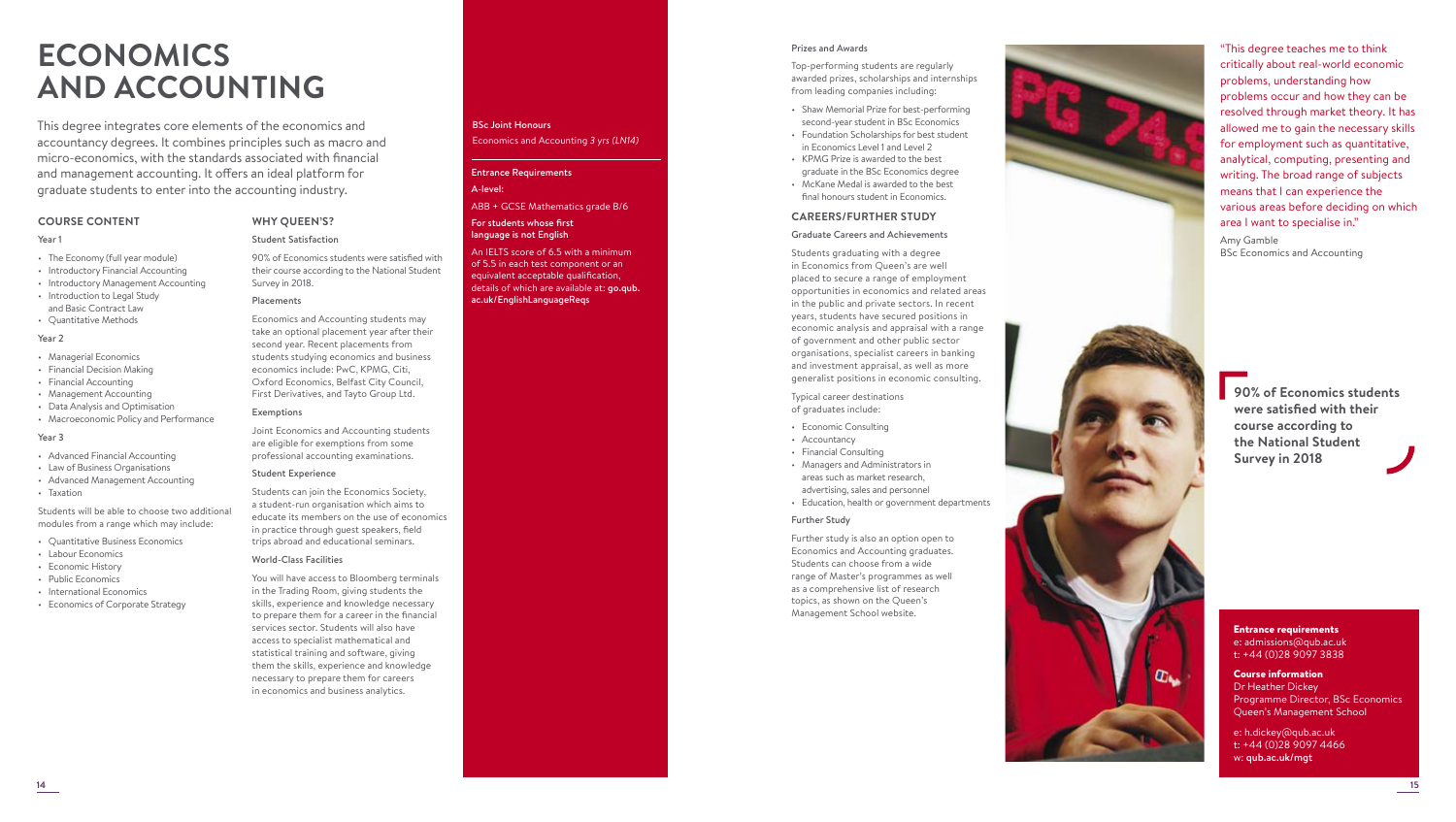# **ECONOMICS AND ACCOUNTING**

This degree integrates core elements of the economics and accountancy degrees. It combines principles such as macro and micro-economics, with the standards associated with financial and management accounting. It offers an ideal platform for graduate students to enter into the accounting industry.

> **WHY QUEEN'S?** Student Satisfaction

Survey in 2018. Placements

Exemptions

World-Class Facilities

90% of Economics students were satisfied with their course according to the National Student

Economics and Accounting students may take an optional placement year after their second year. Recent placements from students studying economics and business economics include: PwC, KPMG, Citi, Oxford Economics, Belfast City Council, First Derivatives, and Tayto Group Ltd.

Joint Economics and Accounting students

Students can join the Economics Society, a student-run organisation which aims to educate its members on the use of economics in practice through guest speakers, field trips abroad and educational seminars.

You will have access to Bloomberg terminals in the Trading Room, giving students the skills, experience and knowledge necessary to prepare them for a career in the financial services sector. Students will also have access to specialist mathematical and statistical training and software, giving them the skills, experience and knowledge necessary to prepare them for careers in economics and business analytics.

# **COURSE CONTENT**

# Year 1

- The Economy (full year module)
- Introductory Financial Accounting
- Introductory Management Accounting
- Introduction to Legal Study and Basic Contract Law
- Quantitative Methods

# Year 2

- Managerial Economics
- Financial Decision Making
- Financial Accounting
- Management Accounting
- Data Analysis and Optimisation • Macroeconomic Policy and Performance

# Year 3

- Advanced Financial Accounting
- Law of Business Organisations
- Advanced Management Accounting
- Taxation

Students will be able to choose two additional modules from a range which may include:

- Quantitative Business Economics
- Labour Economics
- Economic History
- Public Economics
- International Economics
- Economics of Corporate Strategy

# BSc Joint Honours Economics and Accounting *3 yrs (LN14)*

# Entrance Requirements

# A-level:

ABB + GCSE Mathematics grade B/6

### For students whose first language is not English

An IELTS score of 6.5 with a minimum of 5.5 in each test component or an equivalent acceptable qualification, details of which are available at: go.qub. ac.uk/EnglishLanguageReqs

#### Prizes and Awards

Top-performing students are regularly awarded prizes, scholarships and internships from leading companies including:

- Shaw Memorial Prize for best-performing second-year student in BSc Economics
- Foundation Scholarships for best student in Economics Level 1 and Level 2
- KPMG Prize is awarded to the best graduate in the BSc Economics degree
- McKane Medal is awarded to the best final honours student in Economics.

# **CAREERS/FURTHER STUDY**

# Graduate Careers and Achievements

Students graduating with a degree in Economics from Queen's are well placed to secure a range of employment opportunities in economics and related areas in the public and private sectors. In recent years, students have secured positions in economic analysis and appraisal with a range of government and other public sector organisations, specialist careers in banking and investment appraisal, as well as more generalist positions in economic consulting.

Typical career destinations of graduates include:

- Economic Consulting
- Accountancy
- Financial Consulting
- Managers and Administrators in areas such as market research,
- advertising, sales and personnel • Education, health or government departments

# Further Study

Further study is also an option open to Economics and Accounting graduates. Students can choose from a wide range of Master's programmes as well as a comprehensive list of research topics, as shown on the Queen's Management School website.



"This degree teaches me to think critically about real-world economic problems, understanding how problems occur and how they can be resolved through market theory. It has allowed me to gain the necessary skills for employment such as quantitative, analytical, computing, presenting and writing. The broad range of subjects means that I can experience the various areas before deciding on which area I want to specialise in." Amy Gamble

BSc Economics and Accounting



# Entrance requirements e: admissions@qub.ac.uk t: +44 (0)28 9097 3838

 $CD_{\text{lin}}$ 

# Course information Dr Heather Dickey Programme Director, BSc Economics Queen's Management School

e: h.dickey@qub.ac.uk t: +44 (0)28 9097 4466 w: qub.ac.uk/mgt

**14 15**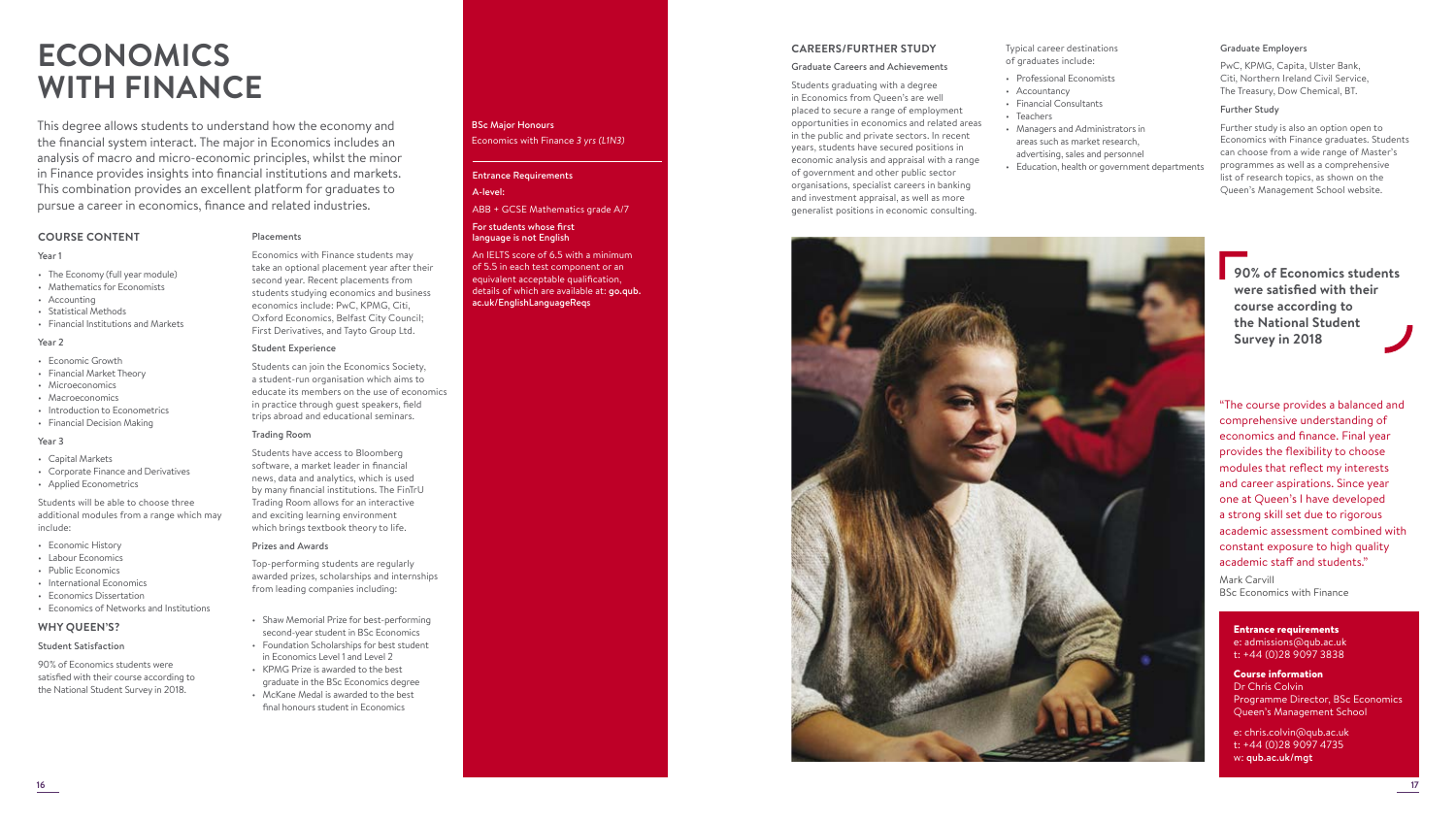# **ECONOMICS WITH FINANCE**

This degree allows students to understand how the economy and the financial system interact. The major in Economics includes an analysis of macro and micro-economic principles, whilst the minor in Finance provides insights into financial institutions and markets. This combination provides an excellent platform for graduates to pursue a career in economics, finance and related industries.

# **COURSE CONTENT**

## Year 1

- The Economy (full year module)
- Mathematics for Economists
- Accounting
- Statistical Methods
- Financial Institutions and Markets

# Year 2

- Economic Growth
- Financial Market Theory
- Microeconomics • Macroeconomics
- Introduction to Econometrics
- Financial Decision Making

# Year 3

- Capital Markets
- Corporate Finance and Derivatives
- Applied Econometrics

Students will be able to choose three additional modules from a range which may include:

- Economic History
- Labour Economics
- Public Economics
- International Economics
- Economics Dissertation
- Economics of Networks and Institutions

# **WHY QUEEN'S?**

# Student Satisfaction

90% of Economics students were satisfied with their course according to the National Student Survey in 2018.

# Placements

Economics with Finance students may take an optional placement year after their second year. Recent placements from students studying economics and business economics include: PwC, KPMG, Citi, Oxford Economics, Belfast City Council; First Derivatives, and Tayto Group Ltd.

# Student Experience

Students can join the Economics Society, a student-run organisation which aims to educate its members on the use of economics in practice through guest speakers, field trips abroad and educational seminars.

#### Trading Room

Students have access to Bloomberg software, a market leader in financial news, data and analytics, which is used by many financial institutions. The FinTrU Trading Room allows for an interactive and exciting learning environment which brings textbook theory to life.

#### Prizes and Awards

Top-performing students are regularly awarded prizes, scholarships and internships from leading companies including:

- Shaw Memorial Prize for best-performing second-year student in BSc Economics • Foundation Scholarships for best student
- in Economics Level 1 and Level 2 • KPMG Prize is awarded to the best
- graduate in the BSc Economics degree • McKane Medal is awarded to the best final honours student in Economics

# BSc Major Honours Economics with Finance *3 yrs (L1N3)*

# Entrance Requirements A-level:

# ABB + GCSE Mathematics grade A/7

#### For students whose first language is not English

An IELTS score of 6.5 with a minimum of 5.5 in each test component or an equivalent acceptable qualification, details of which are available at: go.qub. ac.uk/EnglishLanguageReqs

# **CAREERS/FURTHER STUDY**

#### Graduate Careers and Achievements

Students graduating with a degree in Economics from Queen's are well placed to secure a range of employment opportunities in economics and related areas in the public and private sectors. In recent years, students have secured positions in economic analysis and appraisal with a range of government and other public sector organisations, specialist careers in banking and investment appraisal, as well as more generalist positions in economic consulting.

Typical career destinations of graduates include:

- Professional Economists
- Accountancy
- Financial Consultants
- Teachers
- Managers and Administrators in areas such as market research,
- advertising, sales and personnel • Education, health or government departments

#### Graduate Employers

PwC, KPMG, Capita, Ulster Bank, Citi, Northern Ireland Civil Service, The Treasury, Dow Chemical, BT.

#### Further Study

Further study is also an option open to Economics with Finance graduates. Students can choose from a wide range of Master's programmes as well as a comprehensive list of research topics, as shown on the Queen's Management School website.



**90% of Economics students were satisfied with their course according to the National Student Survey in 2018**

"The course provides a balanced and comprehensive understanding of economics and finance. Final year provides the flexibility to choose modules that reflect my interests and career aspirations. Since year one at Queen's I have developed a strong skill set due to rigorous academic assessment combined with constant exposure to high quality academic staff and students." Mark Carvill BSc Economics with Finance

# Entrance requirements e: admissions@qub.ac.uk t: +44 (0)28 9097 3838

Course information Dr Chris Colvin Programme Director, BSc Economics Queen's Management School

e: chris.colvin@qub.ac.uk t: +44 (0)28 9097 4735 w: qub.ac.uk/mgt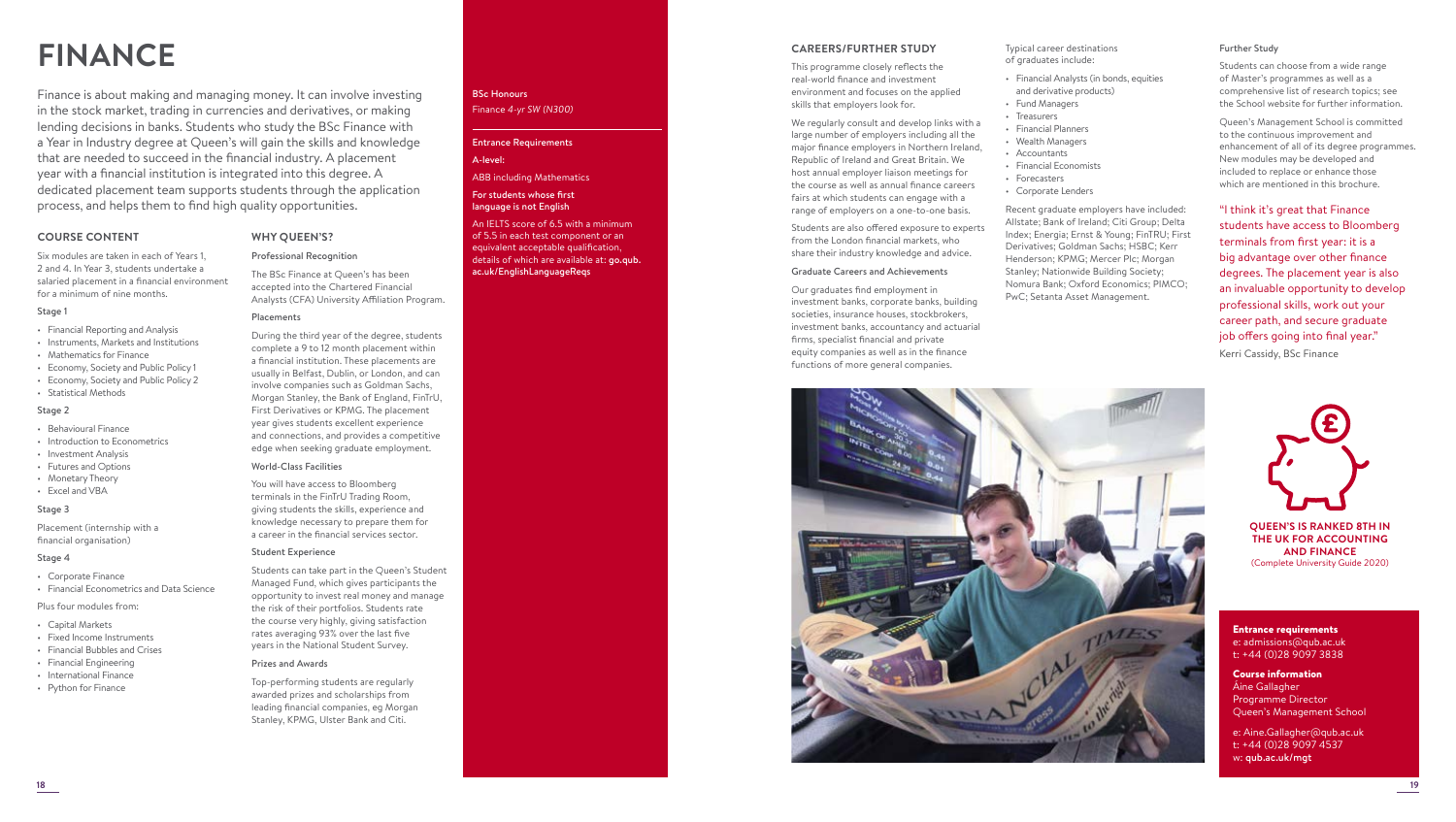# **FINANCE**

Finance is about making and managing money. It can involve investing in the stock market, trading in currencies and derivatives, or making lending decisions in banks. Students who study the BSc Finance with a Year in Industry degree at Queen's will gain the skills and knowledge that are needed to succeed in the financial industry. A placement year with a financial institution is integrated into this degree. A dedicated placement team supports students through the application process, and helps them to find high quality opportunities.

# **COURSE CONTENT**

Six modules are taken in each of Years 1, 2 and 4. In Year 3, students undertake a salaried placement in a financial environment for a minimum of nine months.

# Stage 1

- Financial Reporting and Analysis
- Instruments, Markets and Institutions
- Mathematics for Finance
- Economy, Society and Public Policy 1
- Economy, Society and Public Policy 2
- Statistical Methods

# Stage 2

- Behavioural Finance
- Introduction to Econometrics
- Investment Analysis
- Futures and Options
- Monetary Theory • Excel and VBA

# Stage 3

Placement (internship with a financial organisation)

# Stage 4

- Corporate Finance
- Financial Econometrics and Data Science

## Plus four modules from:

- Capital Markets
- Fixed Income Instruments
- Financial Bubbles and Crises
- Financial Engineering
- International Finance • Python for Finance

# BSc Honours Finance *4-yr SW (N300)*

# Entrance Requirements A-level:

ABB including Mathematics

# For students whose first language is not English

An IELTS score of 6.5 with a minimum of 5.5 in each test component or an equivalent acceptable qualification, details of which are available at: **go.qub.** ac.uk/EnglishLanguageReqs

# **CAREERS/FURTHER STUDY**

This programme closely reflects the real-world finance and investment environment and focuses on the applied skills that employers look for.

We regularly consult and develop links with a large number of employers including all the major finance employers in Northern Ireland, Republic of Ireland and Great Britain. We host annual employer liaison meetings for the course as well as annual finance careers fairs at which students can engage with a range of employers on a one-to-one basis.

Students are also offered exposure to experts from the London financial markets, who share their industry knowledge and advice.

## Graduate Careers and Achievements

Our graduates find employment in investment banks, corporate banks, building societies, insurance houses, stockbrokers, investment banks, accountancy and actuarial firms, specialist financial and private equity companies as well as in the finance functions of more general companies.

![](_page_9_Picture_39.jpeg)

# Further Study

Typical career destinations of graduates include:

• Financial Analysts (in bonds, equities and derivative products) • Fund Managers • Treasurers • Financial Planners • Wealth Managers • Accountants • Financial Economists • Forecasters • Corporate Lenders

Recent graduate employers have included: Allstate; Bank of Ireland; Citi Group; Delta Index; Energia; Ernst & Young; FinTRU; First Derivatives; Goldman Sachs; HSBC; Kerr Henderson; KPMG; Mercer Plc; Morgan Stanley; Nationwide Building Society; Nomura Bank; Oxford Economics; PIMCO; PwC; Setanta Asset Management.

Students can choose from a wide range of Master's programmes as well as a comprehensive list of research topics; see the School website for further information.

Queen's Management School is committed to the continuous improvement and enhancement of all of its degree programmes. New modules may be developed and included to replace or enhance those which are mentioned in this brochure.

"I think it's great that Finance students have access to Bloomberg terminals from first year: it is a big advantage over other finance degrees. The placement year is also an invaluable opportunity to develop professional skills, work out your career path, and secure graduate job offers going into final year." Kerri Cassidy, BSc Finance

![](_page_9_Picture_44.jpeg)

**QUEEN'S IS RANKED 8TH IN THE UK FOR ACCOUNTING AND FINANCE**  (Complete University Guide 2020)

Entrance requirements e: admissions@qub.ac.uk t: +44 (0)28 9097 3838

Course information Áine Gallagher Programme Director Queen's Management School

e: Aine.Gallagher@qub.ac.uk t: +44 (0)28 9097 4537 w: qub.ac.uk/mgt

**18 19**

# **WHY QUEEN'S?**

Professional Recognition The BSc Finance at Queen's has been

accepted into the Chartered Financial Analysts (CFA) University Affiliation Program.

# Placements

During the third year of the degree, students complete a 9 to 12 month placement within a financial institution. These placements are usually in Belfast, Dublin, or London, and can involve companies such as Goldman Sachs, Morgan Stanley, the Bank of England, FinTrU, First Derivatives or KPMG. The placement year gives students excellent experience and connections, and provides a competitive edge when seeking graduate employment.

## World-Class Facilities

You will have access to Bloomberg terminals in the FinTrU Trading Room, giving students the skills, experience and knowledge necessary to prepare them for a career in the financial services sector.

## Student Experience

Students can take part in the Queen's Student Managed Fund, which gives participants the opportunity to invest real money and manage the risk of their portfolios. Students rate the course very highly, giving satisfaction rates averaging 93% over the last five years in the National Student Survey.

## Prizes and Awards

Top-performing students are regularly awarded prizes and scholarships from leading financial companies, eg Morgan Stanley, KPMG, Ulster Bank and Citi.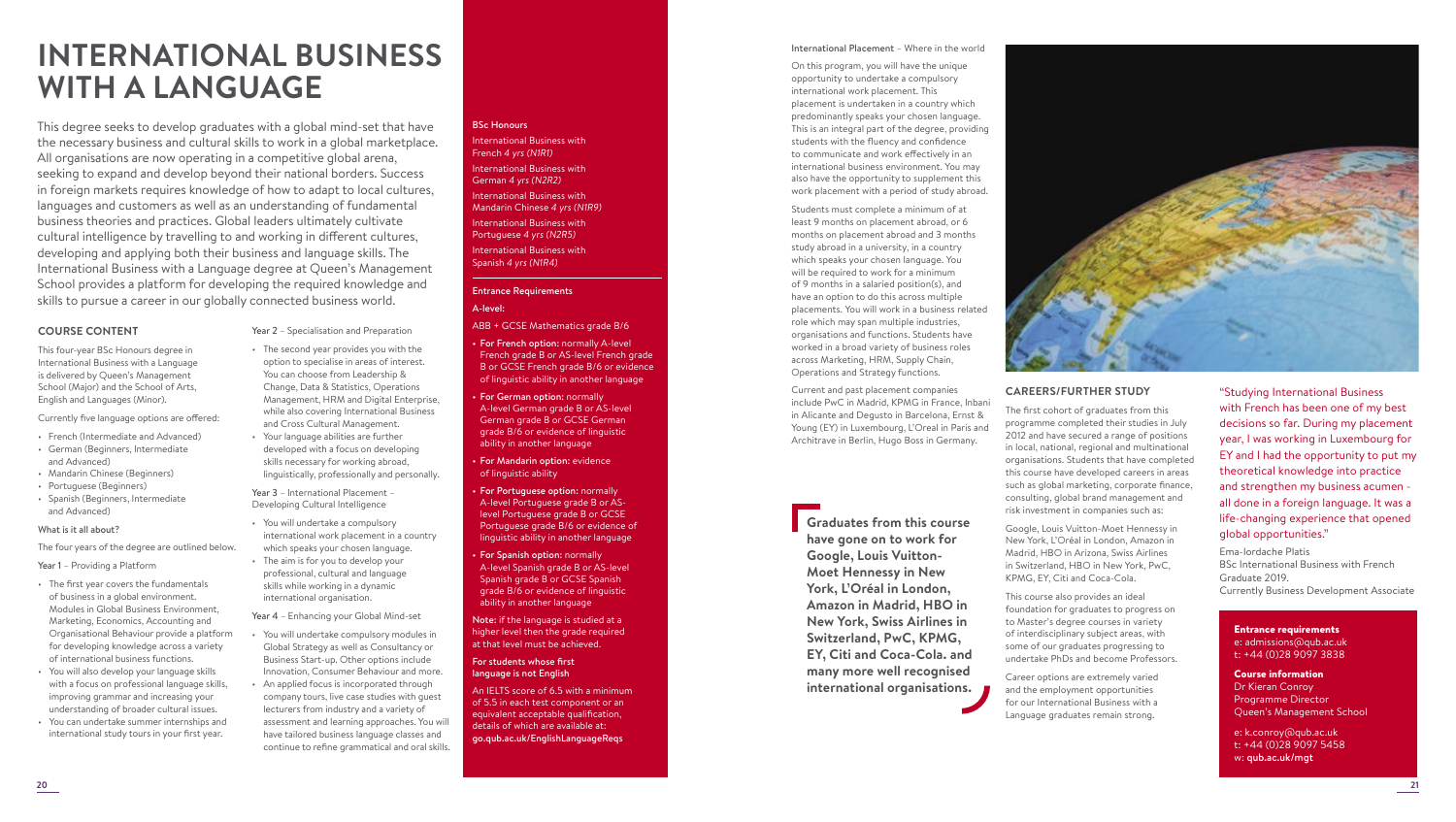# **INTERNATIONAL BUSINESS WITH A LANGUAGE**

This degree seeks to develop graduates with a global mind-set that have the necessary business and cultural skills to work in a global marketplace. All organisations are now operating in a competitive global arena, seeking to expand and develop beyond their national borders. Success in foreign markets requires knowledge of how to adapt to local cultures, languages and customers as well as an understanding of fundamental business theories and practices. Global leaders ultimately cultivate cultural intelligence by travelling to and working in different cultures, developing and applying both their business and language skills. The International Business with a Language degree at Queen's Management School provides a platform for developing the required knowledge and skills to pursue a career in our globally connected business world.

> Year 2 – Specialisation and Preparation • The second year provides you with the option to specialise in areas of interest. You can choose from Leadership & Change, Data & Statistics, Operations Management, HRM and Digital Enterprise, while also covering International Business and Cross Cultural Management. • Your language abilities are further developed with a focus on developing skills necessary for working abroad, linguistically, professionally and personally.

Year 3 – International Placement – Developing Cultural Intelligence • You will undertake a compulsory

international work placement in a country which speaks your chosen language. • The aim is for you to develop your professional, cultural and language skills while working in a dynamic international organisation.

Year 4 – Enhancing your Global Mind-set • You will undertake compulsory modules in Global Strategy as well as Consultancy or Business Start-up. Other options include Innovation, Consumer Behaviour and more. • An applied focus is incorporated through company tours, live case studies with guest lecturers from industry and a variety of assessment and learning approaches. You will have tailored business language classes and continue to refine grammatical and oral skills.

# **COURSE CONTENT**

This four-year BSc Honours degree in International Business with a Language is delivered by Queen's Management School (Major) and the School of Arts, English and Languages (Minor).

# Currently five language options are offered:

- French (Intermediate and Advanced)
- German (Beginners, Intermediate and Advanced)
- Mandarin Chinese (Beginners)
- Portuguese (Beginners)
- Spanish (Beginners, Intermediate and Advanced)

# What is it all about?

The four years of the degree are outlined below.

Year 1 - Providing a Platform

- The first year covers the fundamentals of business in a global environment. Modules in Global Business Environment, Marketing, Economics, Accounting and Organisational Behaviour provide a platform for developing knowledge across a variety of international business functions.
- You will also develop your language skills with a focus on professional language skills, improving grammar and increasing your understanding of broader cultural issues.
- You can undertake summer internships and international study tours in your first year.

# BSc Honours

International Business with French *4 yrs (N1R1)*  International Business with German *4 yrs (N2R2)* International Business with Mandarin Chinese *4 yrs (N1R9)*  International Business with Portuguese *4 yrs (N2R5)* International Business with Spanish *4 yrs (N1R4)*

# Entrance Requirements A-level:

- ABB + GCSE Mathematics grade B/6
- For French option: normally A-level French grade B or AS-level French grade B or GCSE French grade B/6 or evidence of linguistic ability in another language
- For German option: normally A-level German grade B or AS-level German grade B or GCSE German grade B/6 or evidence of linguistic ability in another language
- For Mandarin option: evidence of linguistic ability
- For Portuguese option: normally A-level Portuguese grade B or ASlevel Portuguese grade B or GCSE Portuguese grade B/6 or evidence of linguistic ability in another language
- For Spanish option: normally A-level Spanish grade B or AS-level Spanish grade B or GCSE Spanish grade B/6 or evidence of linguistic ability in another language

Note: if the language is studied at a higher level then the grade required at that level must be achieved.

## For students whose first language is not English

An IELTS score of 6.5 with a minimum of 5.5 in each test component or an equivalent acceptable qualification, details of which are available at: go.qub.ac.uk/EnglishLanguageReqs

# International Placement – Where in the world

On this program, you will have the unique opportunity to undertake a compulsory international work placement. This placement is undertaken in a country which predominantly speaks your chosen language. This is an integral part of the degree, providing students with the fluency and confidence to communicate and work effectively in an international business environment. You may also have the opportunity to supplement this work placement with a period of study abroad.

Students must complete a minimum of at least 9 months on placement abroad, or 6 months on placement abroad and 3 months study abroad in a university, in a country which speaks your chosen language. You will be required to work for a minimum of 9 months in a salaried position(s), and have an option to do this across multiple placements. You will work in a business related role which may span multiple industries, organisations and functions. Students have worked in a broad variety of business roles across Marketing, HRM, Supply Chain, Operations and Strategy functions.

Current and past placement companies include PwC in Madrid, KPMG in France, Inbani in Alicante and Degusto in Barcelona, Ernst & Young (EY) in Luxembourg, L'Oreal in Paris and Architrave in Berlin, Hugo Boss in Germany.

![](_page_10_Picture_32.jpeg)

**Graduates from this course have gone on to work for Google, Louis Vuitton-Moet Hennessy in New York, L'Oréal in London, Amazon in Madrid, HBO in New York, Swiss Airlines in Switzerland, PwC, KPMG, EY, Citi and Coca-Cola. and many more well recognised international organisations.**

![](_page_10_Picture_34.jpeg)

# **CAREERS/FURTHER STUDY**

The first cohort of graduates from this programme completed their studies in July 2012 and have secured a range of positions in local, national, regional and multinational organisations. Students that have completed this course have developed careers in areas such as global marketing, corporate finance, consulting, global brand management and risk investment in companies such as:

Google, Louis Vuitton-Moet Hennessy in New York, L'Oréal in London, Amazon in Madrid, HBO in Arizona, Swiss Airlines in Switzerland, HBO in New York, PwC, KPMG, EY, Citi and Coca-Cola.

This course also provides an ideal foundation for graduates to progress on to Master's degree courses in variety of interdisciplinary subject areas, with some of our graduates progressing to undertake PhDs and become Professors.

Career options are extremely varied and the employment opportunities for our International Business with a Language graduates remain strong.

"Studying International Business with French has been one of my best decisions so far. During my placement year, I was working in Luxembourg for EY and I had the opportunity to put my theoretical knowledge into practice and strengthen my business acumen all done in a foreign language. It was a life-changing experience that opened global opportunities."

Ema-Iordache Platis BSc International Business with French Graduate 2019. Currently Business Development Associate

#### Entrance requirements e: admissions@qub.ac.uk t: +44 (0)28 9097 3838

Course information Dr Kieran Conroy Programme Director Queen's Management School

e: k.conroy@qub.ac.uk t: +44 (0)28 9097 5458 w: qub.ac.uk/mgt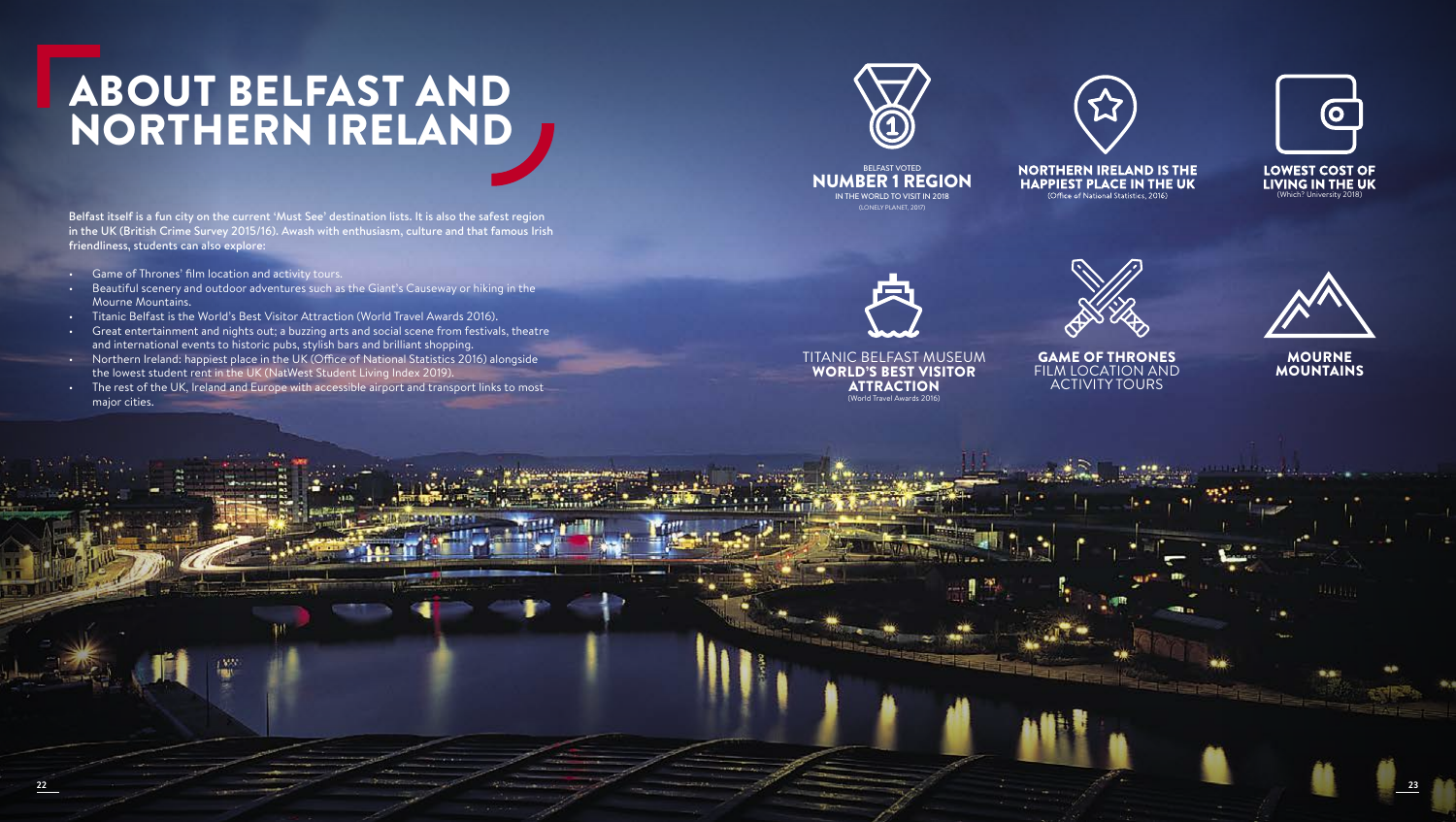# ABOUT BELFAST AND NORTHERN IRELAND

Belfast itself is a fun city on the current 'Must See' destination lists. It is also the safest region in the UK (British Crime Survey 2015/16). Awash with enthusiasm, culture and that famous Irish friendliness, students can also explore:

- Game of Thrones' film location and activity tours.
- Beautiful scenery and outdoor adventures such as the Giant's Causeway or hiking in the Mourne Mountains.
- Titanic Belfast is the World's Best Visitor Attraction (World Travel Awards 2016).
- Great entertainment and nights out; a buzzing arts and social scene from festivals, theatre and international events to historic pubs, stylish bars and brilliant shopping.
- Northern Ireland: happiest place in the UK (Office of National Statistics 2016) alongside the lowest student rent in the UK (NatWest Student Living Index 2019).
- The rest of the UK, Ireland and Europe with accessible airport and transport links to most major cities.

![](_page_11_Picture_8.jpeg)

![](_page_11_Picture_9.jpeg)

![](_page_11_Picture_10.jpeg)

BELFAST VOTED NUMBER 1 REGION IN THE WORLD TO VISIT IN 2018 (LONELY PLANET, 2017)

**NORTHERN IRELAND IS THE HAPPIEST PLACE IN THE UK** 

**LOWEST COST OF** LIVING IN THE UK h? University 20

![](_page_11_Picture_14.jpeg)

TITANIC BELFAST MUSEUM WORLD'S BEST VISITOR ATTRACTION (World Travel Awards 2016)

**22 23**

GAME OF THRONES FILM LOCATION AND ACTIVITY TOURS

![](_page_11_Picture_17.jpeg)

MOURNE MOUNTAINS

444455